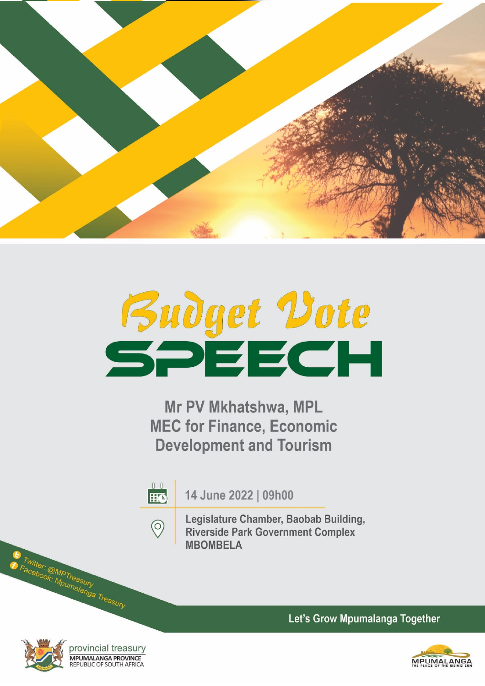

# **Budget Vote**<br>SPEECH

Mr PV Mkhatshwa, MPL **MEC for Finance, Economic Development and Tourism** 

 $0<sub>0</sub>$ 14 June 2022 | 09h00 **HO** Legislature Chamber, Baobab Building,  $\circledcirc$ **Riverside Park Government Complex MBOMBELA** 

Twitter: @MPTreasury<br>Facebook: Mpumalanga Treasury

provincial treasury MPUMALANGA PROVINCE REPUBLIC OF SOUTH AFRICA

Let's Grow Mpumalanga Together

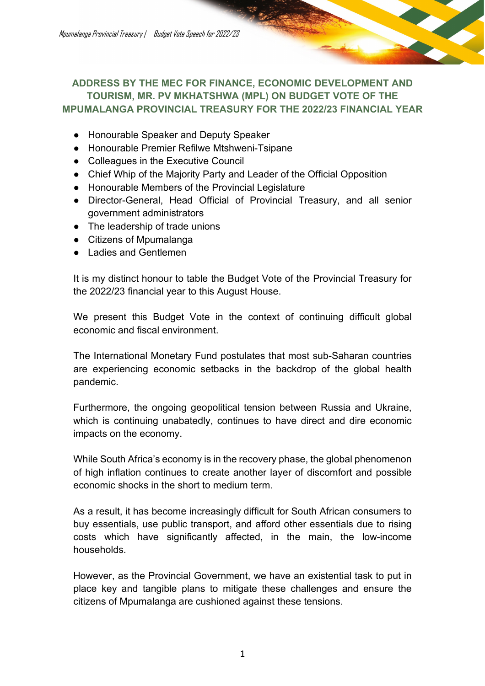Mpumalanga Provincial Treasury | Budget Vote Speech for 2022/23

### **ADDRESS BY THE MEC FOR FINANCE, ECONOMIC DEVELOPMENT AND TOURISM, MR. PV MKHATSHWA (MPL) ON BUDGET VOTE OF THE MPUMALANGA PROVINCIAL TREASURY FOR THE 2022/23 FINANCIAL YEAR**

- Honourable Speaker and Deputy Speaker
- Honourable Premier Refilwe Mtshweni-Tsipane
- Colleagues in the Executive Council
- Chief Whip of the Majority Party and Leader of the Official Opposition
- Honourable Members of the Provincial Legislature
- Director-General, Head Official of Provincial Treasury, and all senior government administrators
- The leadership of trade unions
- Citizens of Mpumalanga
- Ladies and Gentlemen

It is my distinct honour to table the Budget Vote of the Provincial Treasury for the 2022/23 financial year to this August House.

We present this Budget Vote in the context of continuing difficult global economic and fiscal environment.

The International Monetary Fund postulates that most sub-Saharan countries are experiencing economic setbacks in the backdrop of the global health pandemic.

Furthermore, the ongoing geopolitical tension between Russia and Ukraine, which is continuing unabatedly, continues to have direct and dire economic impacts on the economy.

While South Africa's economy is in the recovery phase, the global phenomenon of high inflation continues to create another layer of discomfort and possible economic shocks in the short to medium term.

As a result, it has become increasingly difficult for South African consumers to buy essentials, use public transport, and afford other essentials due to rising costs which have significantly affected, in the main, the low-income households.

However, as the Provincial Government, we have an existential task to put in place key and tangible plans to mitigate these challenges and ensure the citizens of Mpumalanga are cushioned against these tensions.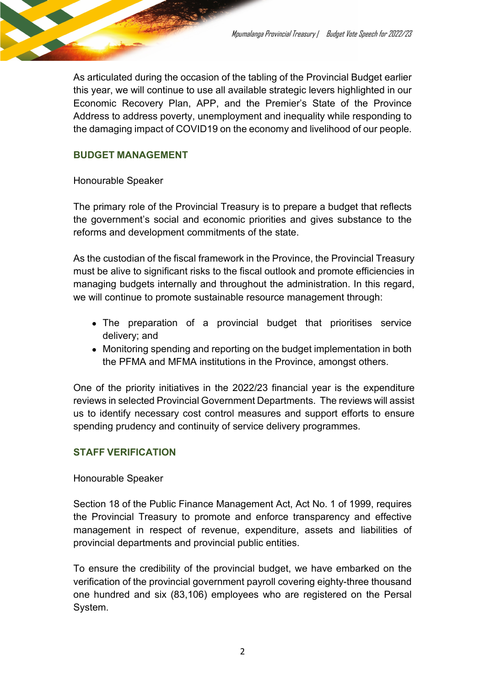As articulated during the occasion of the tabling of the Provincial Budget earlier this year, we will continue to use all available strategic levers highlighted in our Economic Recovery Plan, APP, and the Premier's State of the Province Address to address poverty, unemployment and inequality while responding to the damaging impact of COVID19 on the economy and livelihood of our people.

### **BUDGET MANAGEMENT**

Honourable Speaker

The primary role of the Provincial Treasury is to prepare a budget that reflects the government's social and economic priorities and gives substance to the reforms and development commitments of the state.

As the custodian of the fiscal framework in the Province, the Provincial Treasury must be alive to significant risks to the fiscal outlook and promote efficiencies in managing budgets internally and throughout the administration. In this regard, we will continue to promote sustainable resource management through:

- The preparation of a provincial budget that prioritises service delivery; and
- Monitoring spending and reporting on the budget implementation in both the PFMA and MFMA institutions in the Province, amongst others.

One of the priority initiatives in the 2022/23 financial year is the expenditure reviews in selected Provincial Government Departments. The reviews will assist us to identify necessary cost control measures and support efforts to ensure spending prudency and continuity of service delivery programmes.

### **STAFF VERIFICATION**

### Honourable Speaker

Section 18 of the Public Finance Management Act, Act No. 1 of 1999, requires the Provincial Treasury to promote and enforce transparency and effective management in respect of revenue, expenditure, assets and liabilities of provincial departments and provincial public entities.

To ensure the credibility of the provincial budget, we have embarked on the verification of the provincial government payroll covering eighty-three thousand one hundred and six (83,106) employees who are registered on the Persal System.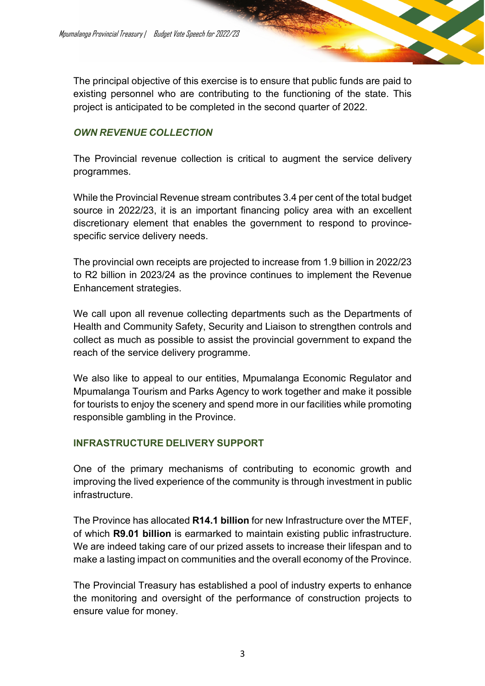The principal objective of this exercise is to ensure that public funds are paid to existing personnel who are contributing to the functioning of the state. This project is anticipated to be completed in the second quarter of 2022.

### *OWN REVENUE COLLECTION*

The Provincial revenue collection is critical to augment the service delivery programmes.

While the Provincial Revenue stream contributes 3.4 per cent of the total budget source in 2022/23, it is an important financing policy area with an excellent discretionary element that enables the government to respond to provincespecific service delivery needs.

The provincial own receipts are projected to increase from 1.9 billion in 2022/23 to R2 billion in 2023/24 as the province continues to implement the Revenue Enhancement strategies.

We call upon all revenue collecting departments such as the Departments of Health and Community Safety, Security and Liaison to strengthen controls and collect as much as possible to assist the provincial government to expand the reach of the service delivery programme.

We also like to appeal to our entities, Mpumalanga Economic Regulator and Mpumalanga Tourism and Parks Agency to work together and make it possible for tourists to enjoy the scenery and spend more in our facilities while promoting responsible gambling in the Province.

### **INFRASTRUCTURE DELIVERY SUPPORT**

One of the primary mechanisms of contributing to economic growth and improving the lived experience of the community is through investment in public infrastructure.

The Province has allocated **R14.1 billion** for new Infrastructure over the MTEF, of which **R9.01 billion** is earmarked to maintain existing public infrastructure. We are indeed taking care of our prized assets to increase their lifespan and to make a lasting impact on communities and the overall economy of the Province.

The Provincial Treasury has established a pool of industry experts to enhance the monitoring and oversight of the performance of construction projects to ensure value for money.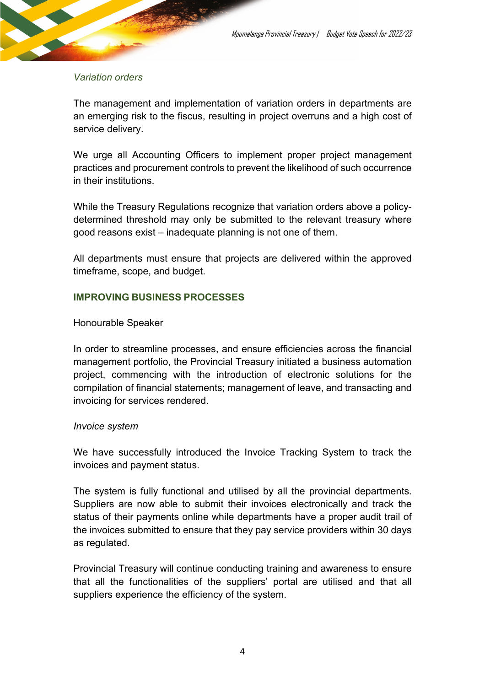### *Variation orders*

The management and implementation of variation orders in departments are an emerging risk to the fiscus, resulting in project overruns and a high cost of service delivery.

We urge all Accounting Officers to implement proper project management practices and procurement controls to prevent the likelihood of such occurrence in their institutions.

While the Treasury Regulations recognize that variation orders above a policydetermined threshold may only be submitted to the relevant treasury where good reasons exist – inadequate planning is not one of them.

All departments must ensure that projects are delivered within the approved timeframe, scope, and budget.

### **IMPROVING BUSINESS PROCESSES**

### Honourable Speaker

In order to streamline processes, and ensure efficiencies across the financial management portfolio, the Provincial Treasury initiated a business automation project, commencing with the introduction of electronic solutions for the compilation of financial statements; management of leave, and transacting and invoicing for services rendered.

### *Invoice system*

We have successfully introduced the Invoice Tracking System to track the invoices and payment status.

The system is fully functional and utilised by all the provincial departments. Suppliers are now able to submit their invoices electronically and track the status of their payments online while departments have a proper audit trail of the invoices submitted to ensure that they pay service providers within 30 days as regulated.

Provincial Treasury will continue conducting training and awareness to ensure that all the functionalities of the suppliers' portal are utilised and that all suppliers experience the efficiency of the system.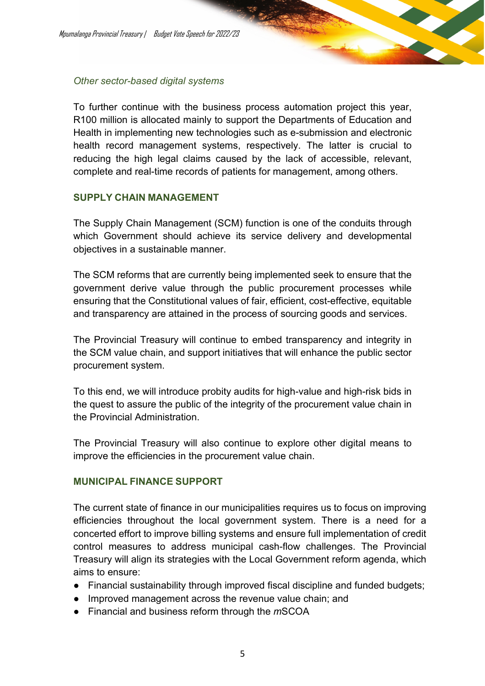### *Other sector-based digital systems*

To further continue with the business process automation project this year, R100 million is allocated mainly to support the Departments of Education and Health in implementing new technologies such as e-submission and electronic health record management systems, respectively. The latter is crucial to reducing the high legal claims caused by the lack of accessible, relevant, complete and real-time records of patients for management, among others.

### **SUPPLY CHAIN MANAGEMENT**

The Supply Chain Management (SCM) function is one of the conduits through which Government should achieve its service delivery and developmental objectives in a sustainable manner.

The SCM reforms that are currently being implemented seek to ensure that the government derive value through the public procurement processes while ensuring that the Constitutional values of fair, efficient, cost-effective, equitable and transparency are attained in the process of sourcing goods and services.

The Provincial Treasury will continue to embed transparency and integrity in the SCM value chain, and support initiatives that will enhance the public sector procurement system.

To this end, we will introduce probity audits for high-value and high-risk bids in the quest to assure the public of the integrity of the procurement value chain in the Provincial Administration.

The Provincial Treasury will also continue to explore other digital means to improve the efficiencies in the procurement value chain.

### **MUNICIPAL FINANCE SUPPORT**

The current state of finance in our municipalities requires us to focus on improving efficiencies throughout the local government system. There is a need for a concerted effort to improve billing systems and ensure full implementation of credit control measures to address municipal cash-flow challenges. The Provincial Treasury will align its strategies with the Local Government reform agenda, which aims to ensure:

- Financial sustainability through improved fiscal discipline and funded budgets;
- Improved management across the revenue value chain; and
- Financial and business reform through the *m*SCOA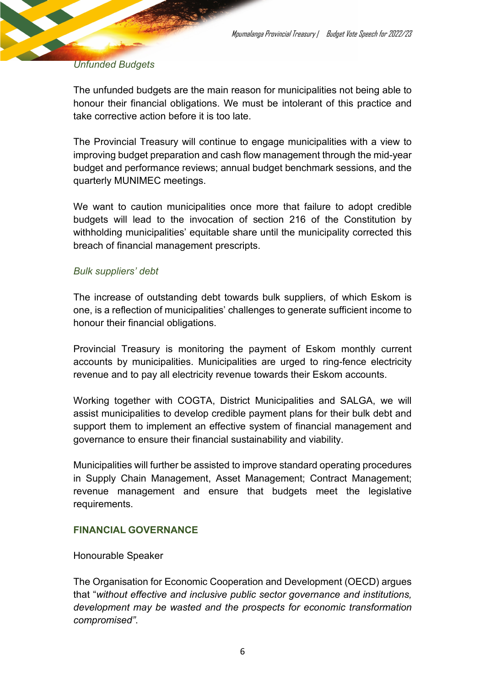### *Unfunded Budgets*

The unfunded budgets are the main reason for municipalities not being able to honour their financial obligations. We must be intolerant of this practice and take corrective action before it is too late.

The Provincial Treasury will continue to engage municipalities with a view to improving budget preparation and cash flow management through the mid-year budget and performance reviews; annual budget benchmark sessions, and the quarterly MUNIMEC meetings.

We want to caution municipalities once more that failure to adopt credible budgets will lead to the invocation of section 216 of the Constitution by withholding municipalities' equitable share until the municipality corrected this breach of financial management prescripts.

### *Bulk suppliers' debt*

The increase of outstanding debt towards bulk suppliers, of which Eskom is one, is a reflection of municipalities' challenges to generate sufficient income to honour their financial obligations.

Provincial Treasury is monitoring the payment of Eskom monthly current accounts by municipalities. Municipalities are urged to ring-fence electricity revenue and to pay all electricity revenue towards their Eskom accounts.

Working together with COGTA, District Municipalities and SALGA, we will assist municipalities to develop credible payment plans for their bulk debt and support them to implement an effective system of financial management and governance to ensure their financial sustainability and viability.

Municipalities will further be assisted to improve standard operating procedures in Supply Chain Management, Asset Management; Contract Management; revenue management and ensure that budgets meet the legislative requirements.

### **FINANCIAL GOVERNANCE**

Honourable Speaker

The Organisation for Economic Cooperation and Development (OECD) argues that "*without effective and inclusive public sector governance and institutions, development may be wasted and the prospects for economic transformation compromised"*.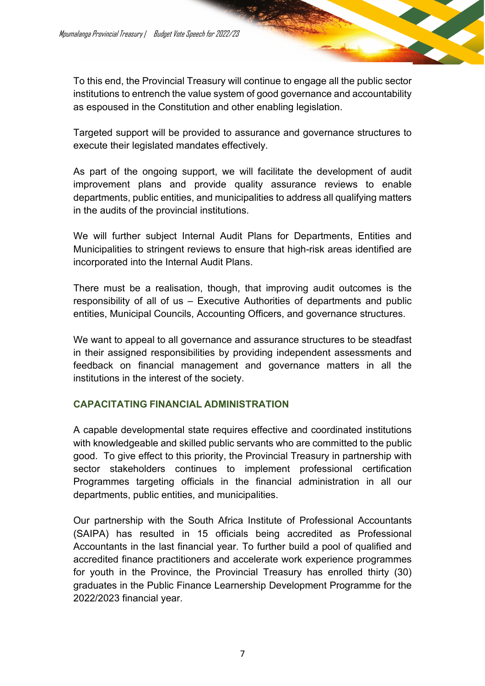To this end, the Provincial Treasury will continue to engage all the public sector institutions to entrench the value system of good governance and accountability as espoused in the Constitution and other enabling legislation.

Targeted support will be provided to assurance and governance structures to execute their legislated mandates effectively.

As part of the ongoing support, we will facilitate the development of audit improvement plans and provide quality assurance reviews to enable departments, public entities, and municipalities to address all qualifying matters in the audits of the provincial institutions.

We will further subject Internal Audit Plans for Departments, Entities and Municipalities to stringent reviews to ensure that high-risk areas identified are incorporated into the Internal Audit Plans.

There must be a realisation, though, that improving audit outcomes is the responsibility of all of us – Executive Authorities of departments and public entities, Municipal Councils, Accounting Officers, and governance structures.

We want to appeal to all governance and assurance structures to be steadfast in their assigned responsibilities by providing independent assessments and feedback on financial management and governance matters in all the institutions in the interest of the society.

### **CAPACITATING FINANCIAL ADMINISTRATION**

A capable developmental state requires effective and coordinated institutions with knowledgeable and skilled public servants who are committed to the public good. To give effect to this priority, the Provincial Treasury in partnership with sector stakeholders continues to implement professional certification Programmes targeting officials in the financial administration in all our departments, public entities, and municipalities.

Our partnership with the South Africa Institute of Professional Accountants (SAIPA) has resulted in 15 officials being accredited as Professional Accountants in the last financial year. To further build a pool of qualified and accredited finance practitioners and accelerate work experience programmes for youth in the Province, the Provincial Treasury has enrolled thirty (30) graduates in the Public Finance Learnership Development Programme for the 2022/2023 financial year.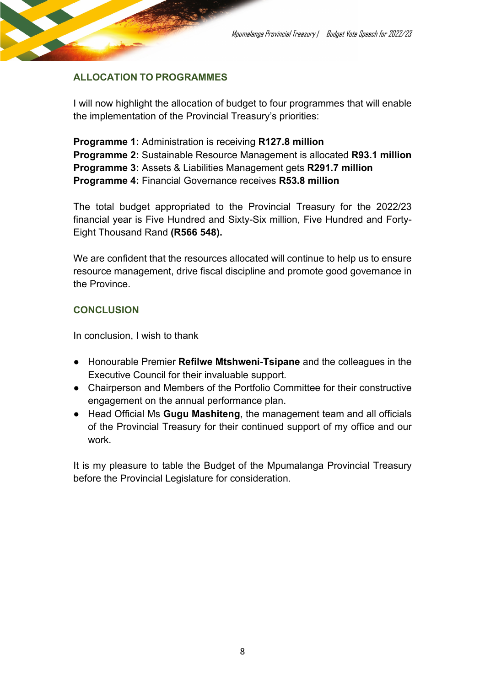### **ALLOCATION TO PROGRAMMES**

I will now highlight the allocation of budget to four programmes that will enable the implementation of the Provincial Treasury's priorities:

**Programme 1:** Administration is receiving **R127.8 million Programme 2:** Sustainable Resource Management is allocated **R93.1 million Programme 3:** Assets & Liabilities Management gets **R291.7 million Programme 4:** Financial Governance receives **R53.8 million**

The total budget appropriated to the Provincial Treasury for the 2022/23 financial year is Five Hundred and Sixty-Six million, Five Hundred and Forty-Eight Thousand Rand **(R566 548).**

We are confident that the resources allocated will continue to help us to ensure resource management, drive fiscal discipline and promote good governance in the Province.

### **CONCLUSION**

In conclusion, I wish to thank

- Honourable Premier **Refilwe Mtshweni-Tsipane** and the colleagues in the Executive Council for their invaluable support.
- Chairperson and Members of the Portfolio Committee for their constructive engagement on the annual performance plan.
- Head Official Ms **Gugu Mashiteng**, the management team and all officials of the Provincial Treasury for their continued support of my office and our work.

It is my pleasure to table the Budget of the Mpumalanga Provincial Treasury before the Provincial Legislature for consideration.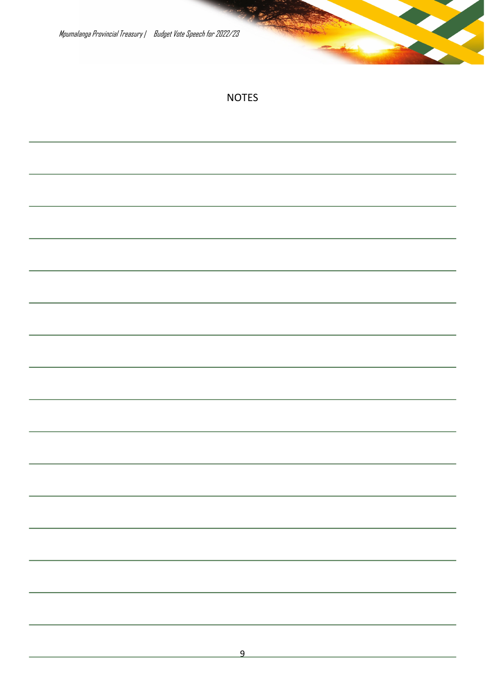Mpumalanga Provincial Treasury | Budget Vote Speech for 2022/23

## NOTES

| <u> 1989 - Johann Stein, mars ar breithinn ar chuid ann an t-</u>                                                     |  |  |
|-----------------------------------------------------------------------------------------------------------------------|--|--|
| <u> 1989 - Andrea Andrew Maria (h. 1989).</u>                                                                         |  |  |
| <u> 1989 - Andrea Santa Andrea Andrea Andrea Andrea Andrea Andrea Andrea Andrea Andrea Andrea Andrea Andrea Andr</u>  |  |  |
| <u> 1989 - Andrea Andrew Maria (h. 1989).</u>                                                                         |  |  |
| <u> 1989 - Jan Samuel Barbara, margaret a shekara 1980 - Shekara ta 1980 - Shekara ta 1980 - Shekara ta 1980 - Sh</u> |  |  |
| a se de la construcción de la construcción de la construcción de la construcción de la construcción de la cons        |  |  |
|                                                                                                                       |  |  |
| <u> 1989 - Andrea Andrew Maria (h. 1989).</u>                                                                         |  |  |
| <u> 1989 - Jan Samuel Barbara, margaret a shekara 1989 - Shekara ta 1989 - Shekara ta 1989 - Shekara ta 1980 - Sh</u> |  |  |
|                                                                                                                       |  |  |
|                                                                                                                       |  |  |
|                                                                                                                       |  |  |
|                                                                                                                       |  |  |
|                                                                                                                       |  |  |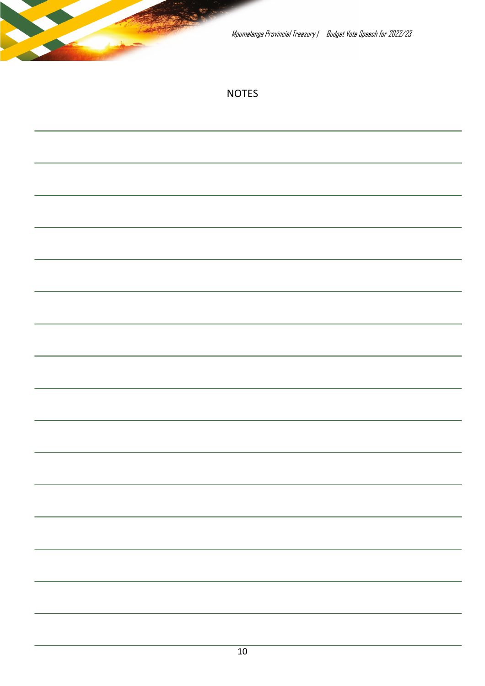|  | Mpumalanga Provincial Treasury   Budget Vote Speech for 2022/23 |  |
|--|-----------------------------------------------------------------|--|
|  | <b>NOTES</b>                                                    |  |
|  |                                                                 |  |
|  |                                                                 |  |
|  |                                                                 |  |
|  |                                                                 |  |
|  |                                                                 |  |
|  |                                                                 |  |
|  |                                                                 |  |
|  |                                                                 |  |
|  |                                                                 |  |
|  |                                                                 |  |